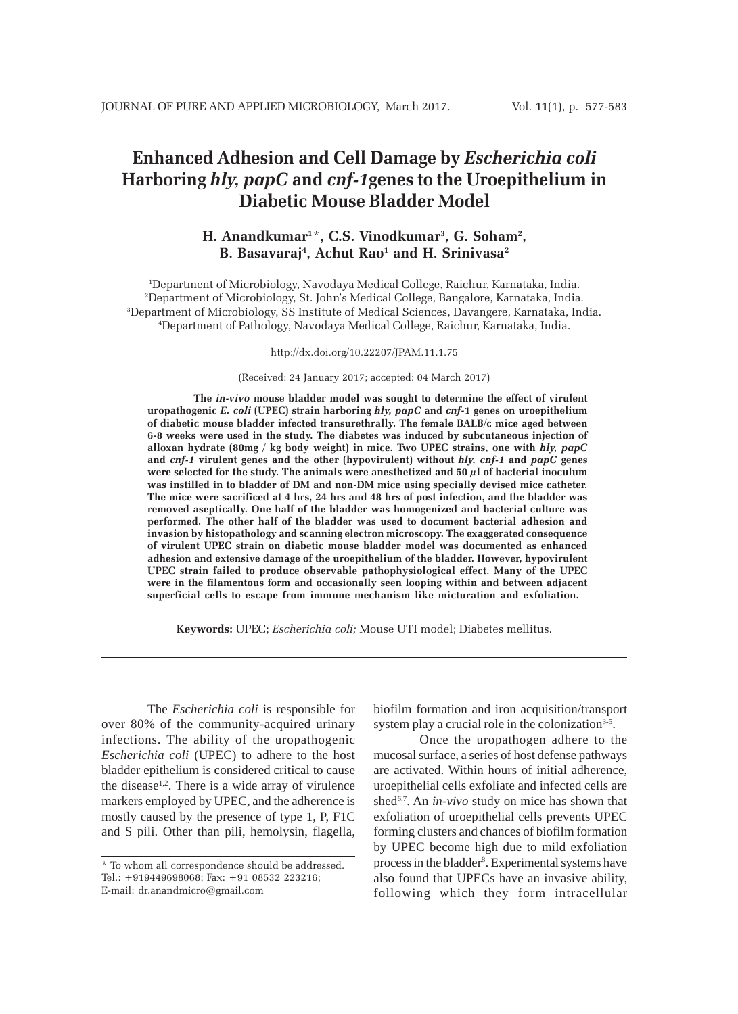# **Enhanced Adhesion and Cell Damage by** *Escherichia coli* **Harboring** *hly, papC* **and** *cnf-1***genes to the Uroepithelium in Diabetic Mouse Bladder Model**

# **H. Anandkumar1** \***, C.S. Vinodkumar3 , G. Soham2 , B. Basavaraj4 , Achut Rao1 and H. Srinivasa2**

 Department of Microbiology, Navodaya Medical College, Raichur, Karnataka, India. Department of Microbiology, St. John's Medical College, Bangalore, Karnataka, India. Department of Microbiology, SS Institute of Medical Sciences, Davangere, Karnataka, India. Department of Pathology, Navodaya Medical College, Raichur, Karnataka, India.

#### http://dx.doi.org/10.22207/JPAM.11.1.75

(Received: 24 January 2017; accepted: 04 March 2017)

**The** *in-vivo* **mouse bladder model was sought to determine the effect of virulent uropathogenic** *E. coli* **(UPEC) strain harboring** *hly, papC* **and** *cnf-***1 genes on uroepithelium of diabetic mouse bladder infected transurethrally. The female BALB/c mice aged between 6-8 weeks were used in the study. The diabetes was induced by subcutaneous injection of alloxan hydrate (80mg / kg body weight) in mice. Two UPEC strains, one with** *hly, papC* **and** *cnf-1* **virulent genes and the other (hypovirulent) without** *hly, cnf-1* **and** *papC* **genes were selected for the study. The animals were anesthetized and 50 µl of bacterial inoculum was instilled in to bladder of DM and non-DM mice using specially devised mice catheter. The mice were sacrificed at 4 hrs, 24 hrs and 48 hrs of post infection, and the bladder was removed aseptically. One half of the bladder was homogenized and bacterial culture was performed. The other half of the bladder was used to document bacterial adhesion and invasion by histopathology and scanning electron microscopy. The exaggerated consequence of virulent UPEC strain on diabetic mouse bladder model was documented as enhanced adhesion and extensive damage of the uroepithelium of the bladder. However, hypovirulent UPEC strain failed to produce observable pathophysiological effect. Many of the UPEC were in the filamentous form and occasionally seen looping within and between adjacent superficial cells to escape from immune mechanism like micturation and exfoliation.**

**Keywords:** UPEC; *Escherichia coli;* Mouse UTI model; Diabetes mellitus.

The *Escherichia coli* is responsible for over 80% of the community-acquired urinary infections. The ability of the uropathogenic *Escherichia coli* (UPEC) to adhere to the host bladder epithelium is considered critical to cause the disease $1,2$ . There is a wide array of virulence markers employed by UPEC, and the adherence is mostly caused by the presence of type 1, P, F1C and S pili. Other than pili, hemolysin, flagella,

biofilm formation and iron acquisition/transport system play a crucial role in the colonization<sup>3-5</sup>.

Once the uropathogen adhere to the mucosal surface, a series of host defense pathways are activated. Within hours of initial adherence, uroepithelial cells exfoliate and infected cells are shed<sup>6,7</sup>. An *in-vivo* study on mice has shown that exfoliation of uroepithelial cells prevents UPEC forming clusters and chances of biofilm formation by UPEC become high due to mild exfoliation process in the bladder<sup>8</sup>. Experimental systems have also found that UPECs have an invasive ability, following which they form intracellular

<sup>\*</sup> To whom all correspondence should be addressed. Tel.: +919449698068; Fax: +91 08532 223216; E-mail: dr.anandmicro@gmail.com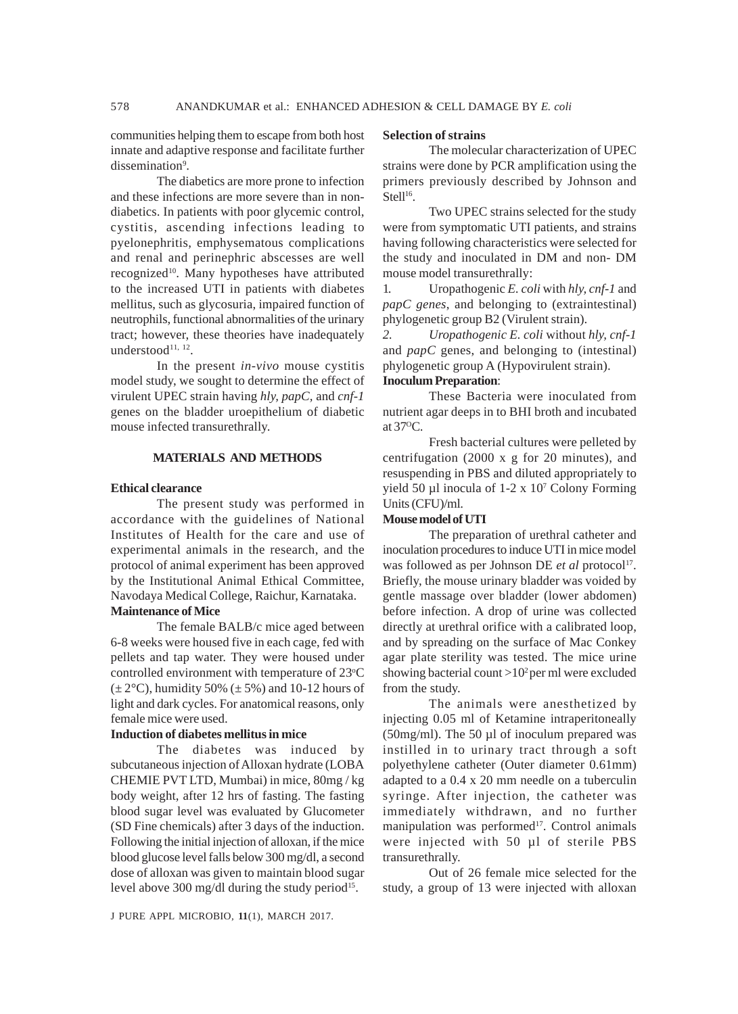communities helping them to escape from both host innate and adaptive response and facilitate further dissemination<sup>9</sup>.

The diabetics are more prone to infection and these infections are more severe than in nondiabetics. In patients with poor glycemic control, cystitis, ascending infections leading to pyelonephritis, emphysematous complications and renal and perinephric abscesses are well recognized<sup>10</sup>. Many hypotheses have attributed to the increased UTI in patients with diabetes mellitus, such as glycosuria, impaired function of neutrophils, functional abnormalities of the urinary tract; however, these theories have inadequately understood $11, 12$ .

In the present *in-vivo* mouse cystitis model study, we sought to determine the effect of virulent UPEC strain having *hly, papC,* and *cnf-1* genes on the bladder uroepithelium of diabetic mouse infected transurethrally.

### **MATERIALS AND METHODS**

### **Ethical clearance**

The present study was performed in accordance with the guidelines of National Institutes of Health for the care and use of experimental animals in the research, and the protocol of animal experiment has been approved by the Institutional Animal Ethical Committee, Navodaya Medical College, Raichur, Karnataka. **Maintenance of Mice**

The female BALB/c mice aged between 6-8 weeks were housed five in each cage, fed with pellets and tap water. They were housed under controlled environment with temperature of 23°C  $(\pm 2^{\circ}C)$ , humidity 50%  $(\pm 5\%)$  and 10-12 hours of light and dark cycles. For anatomical reasons, only female mice were used.

# **Induction of diabetes mellitus in mice**

The diabetes was induced by subcutaneous injection of Alloxan hydrate (LOBA CHEMIE PVT LTD, Mumbai) in mice, 80mg / kg body weight, after 12 hrs of fasting. The fasting blood sugar level was evaluated by Glucometer (SD Fine chemicals) after 3 days of the induction. Following the initial injection of alloxan, if the mice blood glucose level falls below 300 mg/dl, a second dose of alloxan was given to maintain blood sugar level above 300 mg/dl during the study period<sup>15</sup>.

#### **Selection of strains**

The molecular characterization of UPEC strains were done by PCR amplification using the primers previously described by Johnson and Stell $16$ .

Two UPEC strains selected for the study were from symptomatic UTI patients, and strains having following characteristics were selected for the study and inoculated in DM and non- DM mouse model transurethrally:

1. Uropathogenic *E. coli* with *hly, cnf-1* and *papC genes*, and belonging to (extraintestinal) phylogenetic group B2 (Virulent strain).

*2. Uropathogenic E. coli* without *hly, cnf-1* and *papC* genes, and belonging to (intestinal) phylogenetic group A (Hypovirulent strain). **Inoculum Preparation**:

These Bacteria were inoculated from nutrient agar deeps in to BHI broth and incubated at 37OC.

Fresh bacterial cultures were pelleted by centrifugation (2000 x g for 20 minutes), and resuspending in PBS and diluted appropriately to yield 50 µl inocula of 1-2 x 10<sup>7</sup> Colony Forming Units (CFU)/ml.

#### **Mouse model of UTI**

The preparation of urethral catheter and inoculation procedures to induce UTI in mice model was followed as per Johnson DE *et al* protocol<sup>17</sup>. Briefly, the mouse urinary bladder was voided by gentle massage over bladder (lower abdomen) before infection. A drop of urine was collected directly at urethral orifice with a calibrated loop, and by spreading on the surface of Mac Conkey agar plate sterility was tested. The mice urine showing bacterial count  $>10^2$  per ml were excluded from the study.

The animals were anesthetized by injecting 0.05 ml of Ketamine intraperitoneally (50mg/ml). The 50 µl of inoculum prepared was instilled in to urinary tract through a soft polyethylene catheter (Outer diameter 0.61mm) adapted to a 0.4 x 20 mm needle on a tuberculin syringe. After injection, the catheter was immediately withdrawn, and no further manipulation was performed<sup>17</sup>. Control animals were injected with 50 µl of sterile PBS transurethrally.

Out of 26 female mice selected for the study, a group of 13 were injected with alloxan

J PURE APPL MICROBIO*,* **11**(1), MARCH 2017.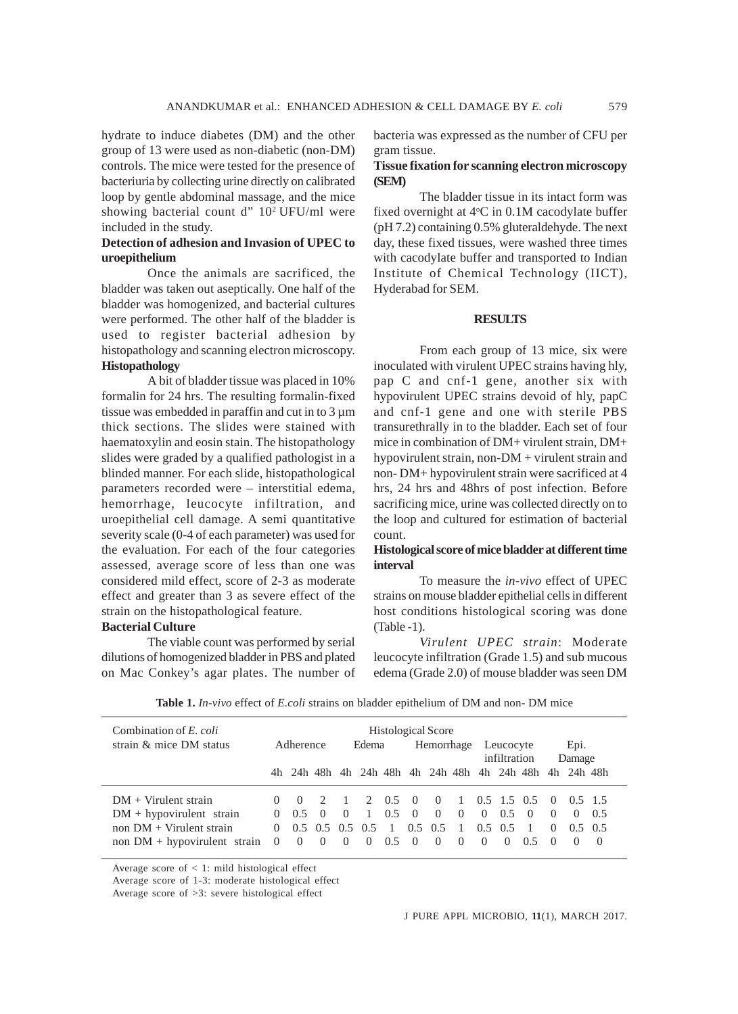hydrate to induce diabetes (DM) and the other group of 13 were used as non-diabetic (non-DM) controls. The mice were tested for the presence of bacteriuria by collecting urine directly on calibrated loop by gentle abdominal massage, and the mice showing bacterial count d"  $10<sup>2</sup>$  UFU/ml were included in the study.

# **Detection of adhesion and Invasion of UPEC to uroepithelium**

Once the animals are sacrificed, the bladder was taken out aseptically. One half of the bladder was homogenized, and bacterial cultures were performed. The other half of the bladder is used to register bacterial adhesion by histopathology and scanning electron microscopy. **Histopathology**

A bit of bladder tissue was placed in 10% formalin for 24 hrs. The resulting formalin-fixed tissue was embedded in paraffin and cut in to  $3 \mu m$ thick sections. The slides were stained with haematoxylin and eosin stain. The histopathology slides were graded by a qualified pathologist in a blinded manner. For each slide, histopathological parameters recorded were – interstitial edema, hemorrhage, leucocyte infiltration, and uroepithelial cell damage. A semi quantitative severity scale (0-4 of each parameter) was used for the evaluation. For each of the four categories assessed, average score of less than one was considered mild effect, score of 2-3 as moderate effect and greater than 3 as severe effect of the strain on the histopathological feature.

# **Bacterial Culture**

The viable count was performed by serial dilutions of homogenized bladder in PBS and plated on Mac Conkey's agar plates. The number of bacteria was expressed as the number of CFU per gram tissue.

### **Tissue fixation for scanning electron microscopy (SEM)**

The bladder tissue in its intact form was fixed overnight at 4°C in 0.1M cacodylate buffer (pH 7.2) containing 0.5% gluteraldehyde. The next day, these fixed tissues, were washed three times with cacodylate buffer and transported to Indian Institute of Chemical Technology (IICT), Hyderabad for SEM.

#### **RESULTS**

From each group of 13 mice, six were inoculated with virulent UPEC strains having hly, pap C and cnf-1 gene, another six with hypovirulent UPEC strains devoid of hly, papC and cnf-1 gene and one with sterile PBS transurethrally in to the bladder. Each set of four mice in combination of DM+ virulent strain, DM+ hypovirulent strain, non-DM + virulent strain and non- DM+ hypovirulent strain were sacrificed at 4 hrs, 24 hrs and 48hrs of post infection. Before sacrificing mice, urine was collected directly on to the loop and cultured for estimation of bacterial count.

#### **Histological score of mice bladder at different time interval**

To measure the *in-vivo* effect of UPEC strains on mouse bladder epithelial cells in different host conditions histological scoring was done (Table -1).

*Virulent UPEC strain*: Moderate leucocyte infiltration (Grade 1.5) and sub mucous edema (Grade 2.0) of mouse bladder was seen DM

| Combination of E. coli<br>strain & mice DM status                                                                        |                      | Adherence                                                       |                              | Edema                |                                          |                                       | <b>Histological Score</b><br>Hemorrhage |                                               |                                        | Leucocyte<br>infiltration    |                                            |                                                       | Epi.<br>Damage                           |                                          |                         |
|--------------------------------------------------------------------------------------------------------------------------|----------------------|-----------------------------------------------------------------|------------------------------|----------------------|------------------------------------------|---------------------------------------|-----------------------------------------|-----------------------------------------------|----------------------------------------|------------------------------|--------------------------------------------|-------------------------------------------------------|------------------------------------------|------------------------------------------|-------------------------|
|                                                                                                                          |                      |                                                                 |                              |                      |                                          |                                       |                                         |                                               |                                        |                              |                                            | 4h 24h 48h 4h 24h 48h 4h 24h 48h 4h 24h 48h           |                                          | 4h 24h 48h                               |                         |
| $DM + Virulent strain$<br>$DM + hypovirulent strain$<br>non $DM + Virulent strain$<br>non $DM + hypovirulent strain = 0$ | $\Omega$<br>$\Omega$ | $0 \quad 0$<br>0.5<br>$0.5$ $0.5$ $0.5$ $0.5$<br>$\overline{0}$ | $\left( \right)$<br>$\Omega$ | $\sim 0$<br>$\theta$ | $2^{\circ}$<br>$\frac{1}{2}$<br>$\theta$ | $0.5 \quad 0$<br>0.5<br>$0.5 \quad 0$ | $\theta$                                | $\overline{0}$<br>$0.5 \quad 0.5$<br>$\theta$ | $\Omega$<br>$\overline{1}$<br>$\theta$ | $\Omega$<br>$\left( \right)$ | 0.5<br>$0.5 \quad 0.5$<br>$\left( \right)$ | $0 \t 1 \t 0.5 \t 1.5 \t 0.5 \t 0$<br>$\Omega$<br>0.5 | $\theta$<br>$\Omega$<br>$\left( \right)$ | $0.5$ 1.5<br>$\Omega$<br>$0.5 \quad 0.5$ | 0.5<br>$\left( \right)$ |

**Table 1.** *In-vivo* effect of *E.coli* strains on bladder epithelium of DM and non- DM mice

Average score of  $\lt$  1: mild histological effect

Average score of 1-3: moderate histological effect

Average score of >3: severe histological effect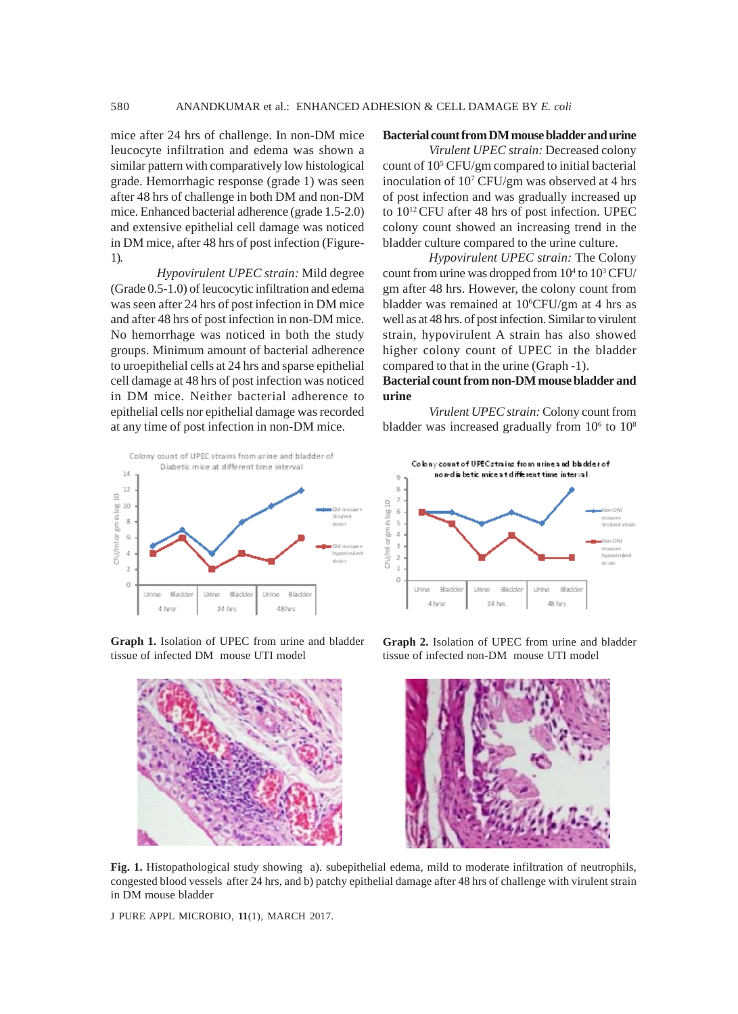mice after 24 hrs of challenge. In non-DM mice leucocyte infiltration and edema was shown a similar pattern with comparatively low histological grade. Hemorrhagic response (grade 1) was seen after 48 hrs of challenge in both DM and non-DM mice. Enhanced bacterial adherence (grade 1.5-2.0) and extensive epithelial cell damage was noticed in DM mice, after 48 hrs of post infection (Figure-1).

*Hypovirulent UPEC strain:* Mild degree (Grade 0.5-1.0) of leucocytic infiltration and edema was seen after 24 hrs of post infection in DM mice and after 48 hrs of post infection in non-DM mice. No hemorrhage was noticed in both the study groups. Minimum amount of bacterial adherence to uroepithelial cells at 24 hrs and sparse epithelial cell damage at 48 hrs of post infection was noticed in DM mice. Neither bacterial adherence to epithelial cells nor epithelial damage was recorded at any time of post infection in non-DM mice.



**Graph 1.** Isolation of UPEC from urine and bladder tissue of infected DM mouse UTI model



**Bacterial count from DM mouse bladder and urine**

*Virulent UPEC strain:* Decreased colony count of 10<sup>5</sup> CFU/gm compared to initial bacterial inoculation of 107 CFU/gm was observed at 4 hrs of post infection and was gradually increased up to 1012 CFU after 48 hrs of post infection. UPEC colony count showed an increasing trend in the bladder culture compared to the urine culture.

*Hypovirulent UPEC strain:* The Colony count from urine was dropped from  $10^4$  to  $10^3$  CFU/ gm after 48 hrs. However, the colony count from bladder was remained at 10<sup>6</sup>CFU/gm at 4 hrs as well as at 48 hrs. of post infection. Similar to virulent strain, hypovirulent A strain has also showed higher colony count of UPEC in the bladder compared to that in the urine (Graph -1).

# **Bacterial count from non-DM mouse bladder and urine**

*Virulent UPEC strain:* Colony count from bladder was increased gradually from  $10^6$  to  $10^8$ 



**Graph 2.** Isolation of UPEC from urine and bladder tissue of infected non-DM mouse UTI model



**Fig. 1.** Histopathological study showing a). subepithelial edema, mild to moderate infiltration of neutrophils, congested blood vessels after 24 hrs, and b) patchy epithelial damage after 48 hrs of challenge with virulent strain in DM mouse bladder

J PURE APPL MICROBIO*,* **11**(1), MARCH 2017.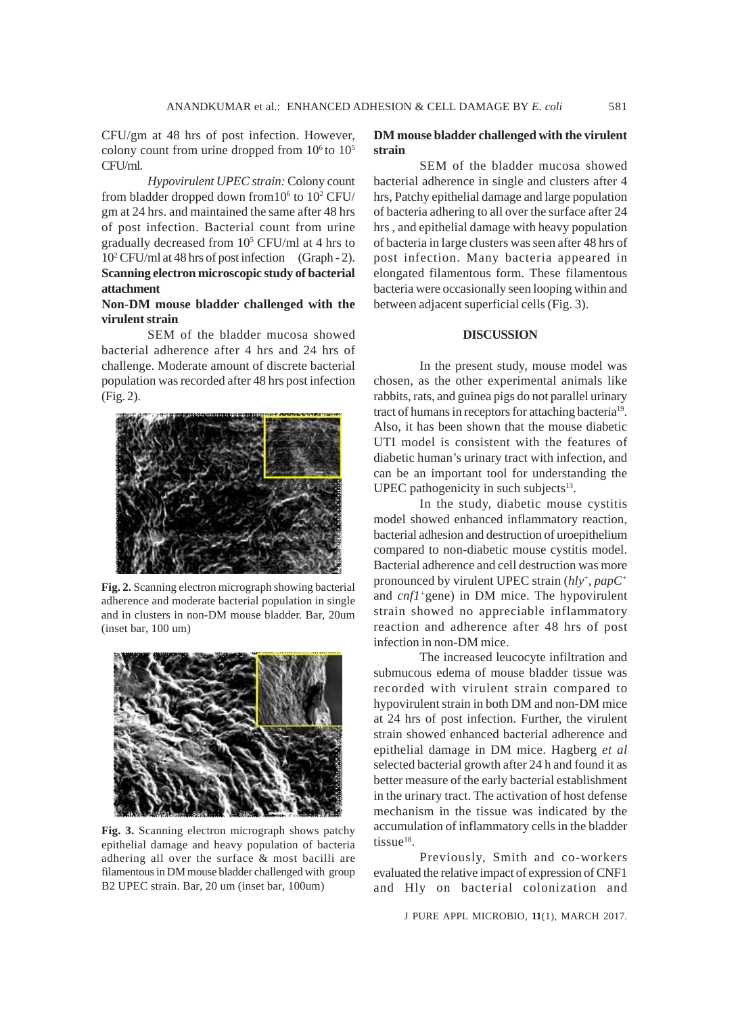CFU/gm at 48 hrs of post infection. However, colony count from urine dropped from  $10<sup>6</sup>$  to  $10<sup>5</sup>$ CFU/ml.

*Hypovirulent UPEC strain:* Colony count from bladder dropped down from  $10^6$  to  $10^2$  CFU/ gm at 24 hrs. and maintained the same after 48 hrs of post infection. Bacterial count from urine gradually decreased from 105 CFU/ml at 4 hrs to 102 CFU/ml at 48 hrs of post infection (Graph - 2). **Scanning electron microscopic study of bacterial attachment**

# **Non-DM mouse bladder challenged with the virulent strain**

SEM of the bladder mucosa showed bacterial adherence after 4 hrs and 24 hrs of challenge. Moderate amount of discrete bacterial population was recorded after 48 hrs post infection (Fig. 2).



**Fig. 2.** Scanning electron micrograph showing bacterial adherence and moderate bacterial population in single and in clusters in non-DM mouse bladder. Bar, 20um (inset bar, 100 um)



**Fig. 3.** Scanning electron micrograph shows patchy epithelial damage and heavy population of bacteria adhering all over the surface & most bacilli are filamentous in DM mouse bladder challenged with group B2 UPEC strain. Bar, 20 um (inset bar, 100um)

#### **DM mouse bladder challenged with the virulent strain**

SEM of the bladder mucosa showed bacterial adherence in single and clusters after 4 hrs, Patchy epithelial damage and large population of bacteria adhering to all over the surface after 24 hrs , and epithelial damage with heavy population of bacteria in large clusters was seen after 48 hrs of post infection. Many bacteria appeared in elongated filamentous form. These filamentous bacteria were occasionally seen looping within and between adjacent superficial cells (Fig. 3).

#### **DISCUSSION**

In the present study, mouse model was chosen, as the other experimental animals like rabbits, rats, and guinea pigs do not parallel urinary tract of humans in receptors for attaching bacteria<sup>19</sup>. Also, it has been shown that the mouse diabetic UTI model is consistent with the features of diabetic human's urinary tract with infection, and can be an important tool for understanding the UPEC pathogenicity in such subjects $13$ .

In the study, diabetic mouse cystitis model showed enhanced inflammatory reaction, bacterial adhesion and destruction of uroepithelium compared to non-diabetic mouse cystitis model. Bacterial adherence and cell destruction was more pronounced by virulent UPEC strain (*hly*+*, papC+* and *cnf1+*gene) in DM mice. The hypovirulent strain showed no appreciable inflammatory reaction and adherence after 48 hrs of post infection in non-DM mice.

The increased leucocyte infiltration and submucous edema of mouse bladder tissue was recorded with virulent strain compared to hypovirulent strain in both DM and non-DM mice at 24 hrs of post infection. Further, the virulent strain showed enhanced bacterial adherence and epithelial damage in DM mice. Hagberg *et al* selected bacterial growth after 24 h and found it as better measure of the early bacterial establishment in the urinary tract. The activation of host defense mechanism in the tissue was indicated by the accumulation of inflammatory cells in the bladder tissue $18$ .

Previously, Smith and co-workers evaluated the relative impact of expression of CNF1 and Hly on bacterial colonization and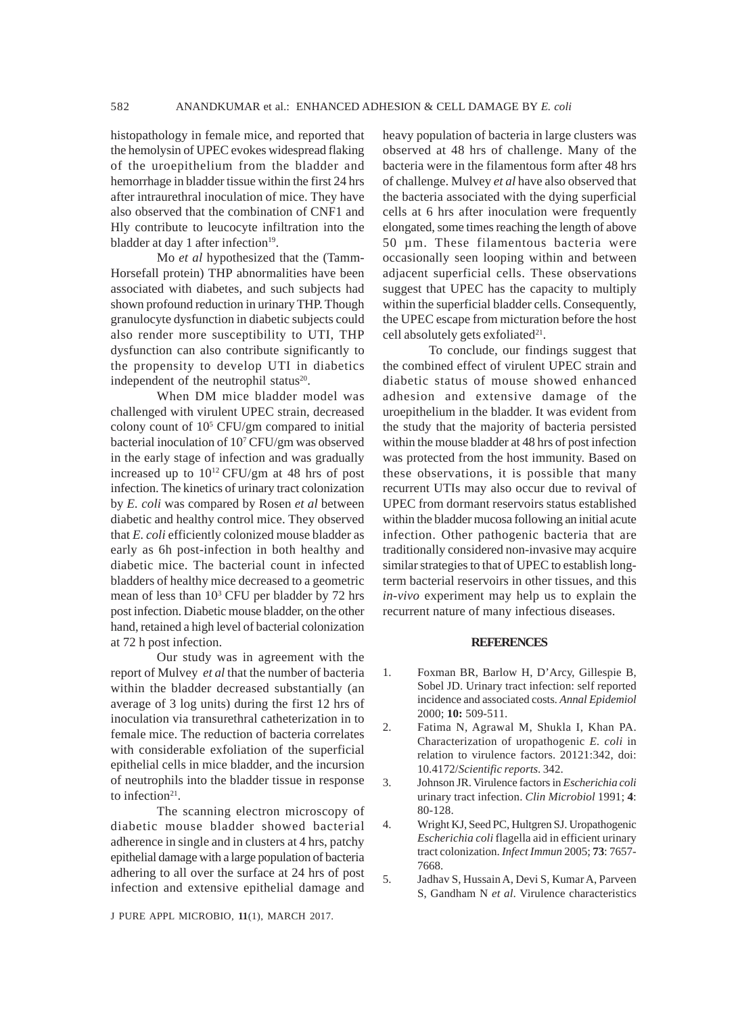histopathology in female mice, and reported that the hemolysin of UPEC evokes widespread flaking of the uroepithelium from the bladder and hemorrhage in bladder tissue within the first 24 hrs after intraurethral inoculation of mice. They have also observed that the combination of CNF1 and Hly contribute to leucocyte infiltration into the bladder at day 1 after infection $19$ .

Mo *et al* hypothesized that the (Tamm-Horsefall protein) THP abnormalities have been associated with diabetes, and such subjects had shown profound reduction in urinary THP. Though granulocyte dysfunction in diabetic subjects could also render more susceptibility to UTI, THP dysfunction can also contribute significantly to the propensity to develop UTI in diabetics independent of the neutrophil status $20$ .

When DM mice bladder model was challenged with virulent UPEC strain, decreased colony count of 105 CFU/gm compared to initial bacterial inoculation of 107 CFU/gm was observed in the early stage of infection and was gradually increased up to 1012 CFU/gm at 48 hrs of post infection. The kinetics of urinary tract colonization by *E. coli* was compared by Rosen *et al* between diabetic and healthy control mice. They observed that *E. coli* efficiently colonized mouse bladder as early as 6h post-infection in both healthy and diabetic mice. The bacterial count in infected bladders of healthy mice decreased to a geometric mean of less than 10<sup>3</sup> CFU per bladder by 72 hrs post infection. Diabetic mouse bladder, on the other hand, retained a high level of bacterial colonization at 72 h post infection.

Our study was in agreement with the report of Mulvey *et al* that the number of bacteria within the bladder decreased substantially (an average of 3 log units) during the first 12 hrs of inoculation via transurethral catheterization in to female mice. The reduction of bacteria correlates with considerable exfoliation of the superficial epithelial cells in mice bladder, and the incursion of neutrophils into the bladder tissue in response to infection<sup>21</sup>.

The scanning electron microscopy of diabetic mouse bladder showed bacterial adherence in single and in clusters at 4 hrs, patchy epithelial damage with a large population of bacteria adhering to all over the surface at 24 hrs of post infection and extensive epithelial damage and

J PURE APPL MICROBIO*,* **11**(1), MARCH 2017.

heavy population of bacteria in large clusters was observed at 48 hrs of challenge. Many of the bacteria were in the filamentous form after 48 hrs of challenge. Mulvey *et al* have also observed that the bacteria associated with the dying superficial cells at 6 hrs after inoculation were frequently elongated, some times reaching the length of above 50 µm. These filamentous bacteria were occasionally seen looping within and between adjacent superficial cells. These observations suggest that UPEC has the capacity to multiply within the superficial bladder cells. Consequently, the UPEC escape from micturation before the host cell absolutely gets exfoliated $21$ .

To conclude, our findings suggest that the combined effect of virulent UPEC strain and diabetic status of mouse showed enhanced adhesion and extensive damage of the uroepithelium in the bladder. It was evident from the study that the majority of bacteria persisted within the mouse bladder at 48 hrs of post infection was protected from the host immunity. Based on these observations, it is possible that many recurrent UTIs may also occur due to revival of UPEC from dormant reservoirs status established within the bladder mucosa following an initial acute infection. Other pathogenic bacteria that are traditionally considered non-invasive may acquire similar strategies to that of UPEC to establish longterm bacterial reservoirs in other tissues, and this *in-vivo* experiment may help us to explain the recurrent nature of many infectious diseases.

#### **REFERENCES**

- 1. Foxman BR, Barlow H, D'Arcy, Gillespie B, Sobel JD. Urinary tract infection: self reported incidence and associated costs*. Annal Epidemiol* 2000; **10:** 509-511.
- 2. Fatima N, Agrawal M, Shukla I, Khan PA. Characterization of uropathogenic *E. coli* in relation to virulence factors. 20121:342, doi: 10.4172/*Scientific reports*. 342.
- 3. Johnson JR. Virulence factors in *Escherichia coli* urinary tract infection. *Clin Microbiol* 1991; **4**: 80-128.
- 4. Wright KJ, Seed PC, Hultgren SJ. Uropathogenic *Escherichia coli* flagella aid in efficient urinary tract colonization. *Infect Immun* 2005; **73**: 7657- 7668.
- 5. Jadhav S, Hussain A, Devi S, Kumar A, Parveen S, Gandham N *et al*. Virulence characteristics